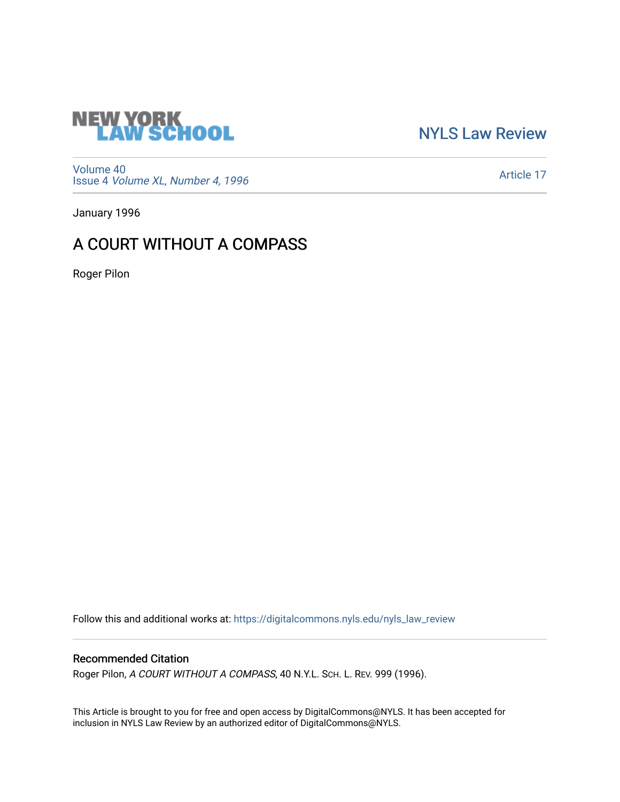

[NYLS Law Review](https://digitalcommons.nyls.edu/nyls_law_review) 

[Volume 40](https://digitalcommons.nyls.edu/nyls_law_review/vol40) Issue 4 [Volume XL, Number 4, 1996](https://digitalcommons.nyls.edu/nyls_law_review/vol40/iss4)

[Article 17](https://digitalcommons.nyls.edu/nyls_law_review/vol40/iss4/17) 

January 1996

# A COURT WITHOUT A COMPASS

Roger Pilon

Follow this and additional works at: [https://digitalcommons.nyls.edu/nyls\\_law\\_review](https://digitalcommons.nyls.edu/nyls_law_review?utm_source=digitalcommons.nyls.edu%2Fnyls_law_review%2Fvol40%2Fiss4%2F17&utm_medium=PDF&utm_campaign=PDFCoverPages) 

## Recommended Citation

Roger Pilon, A COURT WITHOUT A COMPASS, 40 N.Y.L. SCH. L. REV. 999 (1996).

This Article is brought to you for free and open access by DigitalCommons@NYLS. It has been accepted for inclusion in NYLS Law Review by an authorized editor of DigitalCommons@NYLS.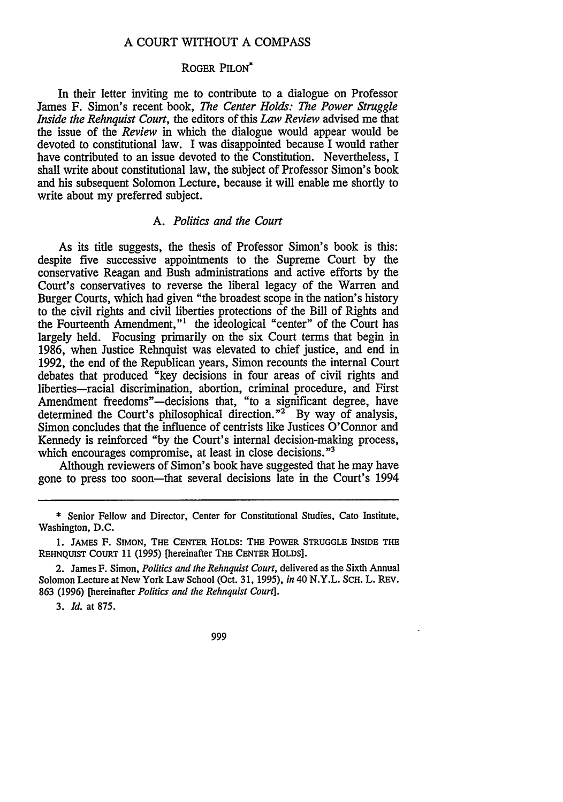#### A COURT WITHOUT A COMPASS

#### ROGER PILON\*

In their letter inviting me to contribute to a dialogue on Professor James F. Simon's recent book, *The Center Holds: The Power Struggle Inside the Rehnquist Court,* the editors of this *Law Review* advised me that the issue of the *Review* in which the dialogue would appear would be devoted to constitutional law. I was disappointed because I would rather have contributed to an issue devoted to the Constitution. Nevertheless, I shall write about constitutional law, the subject of Professor Simon's book and his subsequent Solomon Lecture, because it will enable me shortly to write about my preferred subject.

#### *A. Politics and the Court*

As its title suggests, the thesis of Professor Simon's book is this: despite five successive appointments to the Supreme Court by the conservative Reagan and Bush administrations and active efforts by the Court's conservatives to reverse the liberal legacy of the Warren and Burger Courts, which had given "the broadest scope in the nation's history to the civil rights and civil liberties protections of the Bill of Rights and the Fourteenth Amendment,"<sup>1</sup> the ideological "center" of the Court has largely held. Focusing primarily on the six Court terms that begin in 1986, when Justice Rehnquist was elevated to chief justice, and end in 1992, the end of the Republican years, Simon recounts the internal Court debates that produced "key decisions in four areas of civil rights and liberties-racial discrimination, abortion, criminal procedure, and First Amendment freedoms"—decisions that, "to a significant degree, have determined the Court's philosophical direction. $2^{\infty}$  By way of analysis, Simon concludes that the influence of centrists like Justices O'Connor and Kennedy is reinforced "by the Court's internal decision-making process, which encourages compromise, at least in close decisions."<sup>3</sup>

Although reviewers of Simon's book have suggested that he may have gone to press too soon-that several decisions late in the Court's 1994

*3. Id.* at **875.**

999

<sup>\*</sup> Senior Fellow and Director, Center for Constitutional Studies, Cato Institute, Washington, D.C.

<sup>1.</sup> JAMES **F. SIMON,** THE **CENTER** HOLDS: THE POWER **STRUGGLE** INSIDE THE REHNQUIST COURT **11 (1995)** [hereinafter THE **CENTER** HOLDS].

<sup>2.</sup> James F. Simon, *Politics and the Rehnquist Court,* delivered as the Sixth Annual Solomon Lecture at New York Law School (Oct. **31, 1995),** *in* 40 N.Y.L. **SCH.** L. REV. **863 (1996)** [hereinafter *Politics and the Rehnquist Court].*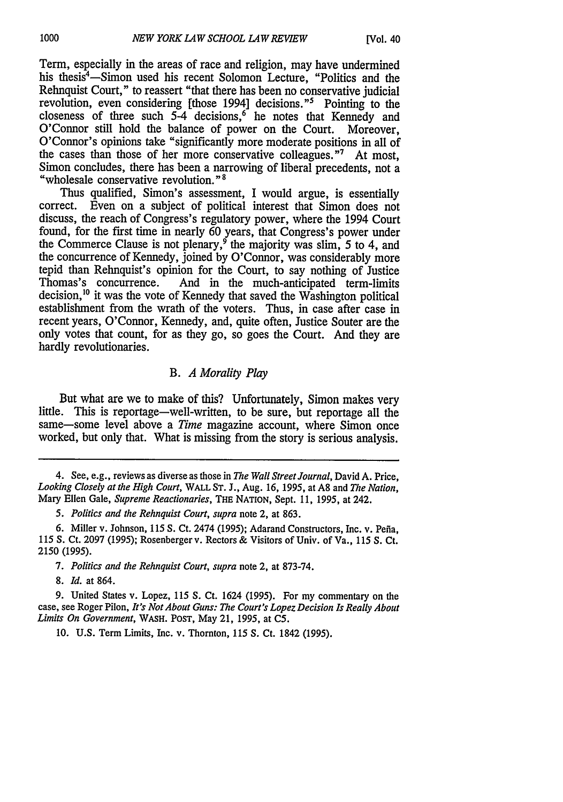Term, especially in the areas of race and religion, may have undermined his thesis<sup>4</sup>-Simon used his recent Solomon Lecture, "Politics and the Rehnquist Court," to reassert "that there has been no conservative judicial revolution, even considering [those 1994] decisions."<sup>5</sup> Pointing to the closeness of three such  $5-4$  decisions,<sup>6</sup> he notes that Kennedy and O'Connor still hold the balance of power on the Court. Moreover, O'Connor's opinions take "significantly more moderate positions in all of the cases than those of her more conservative colleagues."' At most, Simon concludes, there has been a narrowing of liberal precedents, not a "wholesale conservative revolution." **8**

Thus qualified, Simon's assessment, I would argue, is essentially correct. Even on a subject of political interest that Simon does not discuss, the reach of Congress's regulatory power, where the 1994 Court found, for the first time in nearly 60 years, that Congress's power under the Commerce Clause is not plenary,  $9$  the majority was slim, 5 to 4, and the concurrence of Kennedy, joined by O'Connor, was considerably more tepid than Rehnquist's opinion for the Court, to say nothing of Justice And in the much-anticipated term-limits decision,<sup>10</sup> it was the vote of Kennedy that saved the Washington political establishment from the wrath of the voters. Thus, in case after case in recent years, O'Connor, Kennedy, and, quite often, Justice Souter are the only votes that count, for as they go, so goes the Court. And they are hardly revolutionaries.

### B. *A Morality Play*

But what are we to make of this? Unfortunately, Simon makes very little. This is reportage-well-written, to be sure, but reportage all the same-some level above a *Time* magazine account, where Simon once worked, but only that. What is missing from the story is serious analysis.

4. See, e.g., reviews as diverse as those in *The Wall Street Journal,* David A. Price, *Looking Closely at the High Court,* WALL ST. J., Aug. 16, 1995, at A8 and *The Nation,* Mary Ellen Gale, *Supreme Reactionaries,* THE NATION, Sept. **11,** 1995, at 242.

*5. Politics and the Rehnquist Court, supra* note 2, at 863.

6. Miller v. Johnson, 115 **S.** Ct. 2474 (1995); Adarand Constructors, Inc. v. Pefia, 115 S. Ct. 2097 (1995); Rosenberger v. Rectors & Visitors of Univ. of Va., 115 S. Ct. 2150 (1995).

*7. Politics and the Rehnquist Court, supra* note 2, at 873-74.

8. *Id.* at 864.

9. United States v. Lopez, 115 **S.** Ct. 1624 (1995). For my commentary on the case, see Roger Pilon, *It's Not About Guns: The Court's Lopez Decision Is Really About Limits On Government,* WASH. POST, May 21, 1995, at C5.

10. U.S. Term Limits, Inc. v. Thornton, 115 **S.** Ct. 1842 (1995).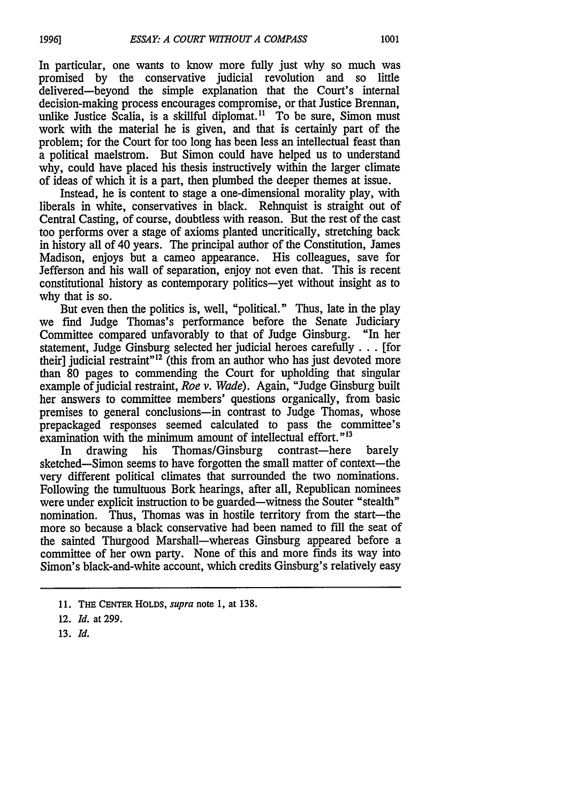In particular, one wants to know more fully just why so much was promised by the conservative judicial revolution and so little delivered-beyond the simple explanation that the Court's internal decision-making process encourages compromise, or that Justice Brennan, unlike Justice Scalia, is a skillful diplomat.<sup>11</sup> To be sure, Simon must work with the material he is given, and that is certainly part of the problem; for the Court for too long has been less an intellectual feast than a political maelstrom. But Simon could have helped us to understand why, could have placed his thesis instructively within the larger climate of ideas of which it is a part, then plumbed the deeper themes at issue.

Instead, he is content to stage a one-dimensional morality play, with liberals in white, conservatives in black. Rehnquist is straight out of Central Casting, of course, doubtless with reason. But the rest of the cast too performs over a stage of axioms planted uncritically, stretching back in history all of 40 years. The principal author of the Constitution, James Madison, enjoys but a cameo appearance. His colleagues, save for Jefferson and his wall of separation, enjoy not even that. This is recent constitutional history as contemporary politics-yet without insight as to why that is so.

But even then the politics is, well, "political." Thus, late in the play we find Judge Thomas's performance before the Senate Judiciary Committee compared unfavorably to that of Judge Ginsburg. "In her statement, Judge Ginsburg selected her judicial heroes carefully. **..** [for their] judicial restraint<sup>"12</sup> (this from an author who has just devoted more than 80 pages to commending the Court for upholding that singular example of judicial restraint, *Roe v. Wade).* Again, "Judge Ginsburg built her answers to committee members' questions organically, from basic premises to general conclusions-in contrast to Judge Thomas, whose prepackaged responses seemed calculated to pass the committee's examination with the minimum amount of intellectual effort."<sup>13</sup>

In drawing his Thomas/Ginsburg contrast—here barely sketched-Simon seems to have forgotten the small matter of context-the very different political climates that surrounded the two nominations. Following the tumultuous Bork hearings, after all, Republican nominees were under explicit instruction to be guarded—witness the Souter "stealth" nomination. Thus, Thomas was in hostile territory from the start-the more so because a black conservative had been named to fill the seat of the sainted Thurgood Marshall-whereas Ginsburg appeared before a committee of her own party. None of this and more finds its way into Simon's black-and-white account, which credits Ginsburg's relatively easy

**<sup>11.</sup>** THE **CENTER** HOLDS, *supra* note **1,** at 138.

<sup>12.</sup> *Id.* at 299.

**<sup>13.</sup>** *Id.*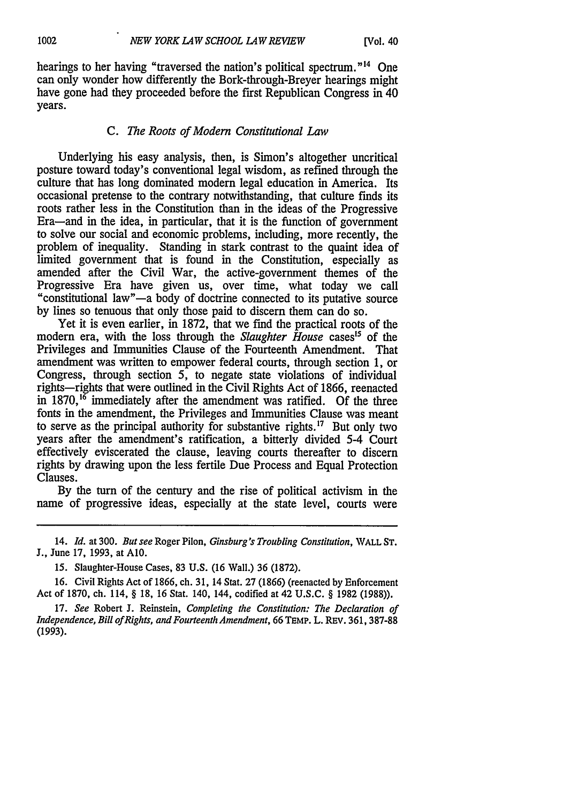hearings to her having "traversed the nation's political spectrum."<sup>14</sup> One can only wonder how differently the Bork-through-Breyer hearings might have gone had they proceeded before the first Republican Congress in 40 years.

## *C. The Roots of Modern Constitutional Law*

Underlying his easy analysis, then, is Simon's altogether uncritical posture toward today's conventional legal wisdom, as refined through the culture that has long dominated modem legal education in America. Its occasional pretense to the contrary notwithstanding, that culture finds its roots rather less in the Constitution than in the ideas of the Progressive Era-and in the idea, in particular, that it is the function of government to solve our social and economic problems, including, more recently, the problem of inequality. Standing in stark contrast to the quaint idea of limited government that is found in the Constitution, especially as amended after the Civil War, the active-government themes of the Progressive Era have given us, over time, what today we call "constitutional law"-a body of doctrine connected to its putative source by lines so tenuous that only those paid to discern them can do so.

Yet it is even earlier, in 1872, that we find the practical roots of the modern era, with the loss through the *Slaughter House* cases<sup>15</sup> of the Privileges and Immunities Clause of the Fourteenth Amendment. That amendment was written to empower federal courts, through section 1, or Congress, through section 5, to negate state violations of individual rights-rights that were outlined in the Civil Rights Act of 1866, reenacted in 1870,<sup>16</sup> immediately after the amendment was ratified. Of the three fonts in the amendment, the Privileges and Immunities Clause was meant to serve as the principal authority for substantive rights.'7 But only two years after the amendment's ratification, a bitterly divided 5-4 Court effectively eviscerated the clause, leaving courts thereafter to discern rights by drawing upon the less fertile Due Process and Equal Protection Clauses.

By the turn of the century and the rise of political activism in the name of progressive ideas, especially at the state level, courts were

14. *Id.* at 300. But see Roger Pilon, *Ginsburg's Troubling Constitution,* WALL **ST. J.,** June 17, 1993, at **A10.**

15. Slaughter-House Cases, 83 U.S. (16 Wall.) 36 (1872).

16. Civil Rights Act of 1866, ch. 31, 14 Stat. 27 (1866) (reenacted by Enforcement Act of 1870, ch. 114, § 18, 16 Stat. 140, 144, codified at 42 U.S.C. § 1982 (1988)).

17. *See* Robert **J.** Reinstein, *Completing the Constitution: The Declaration of Independence, Bill ofRights, and Fourteenth Amendment, 66* TEMP. L. REv. 361, 387-88 (1993).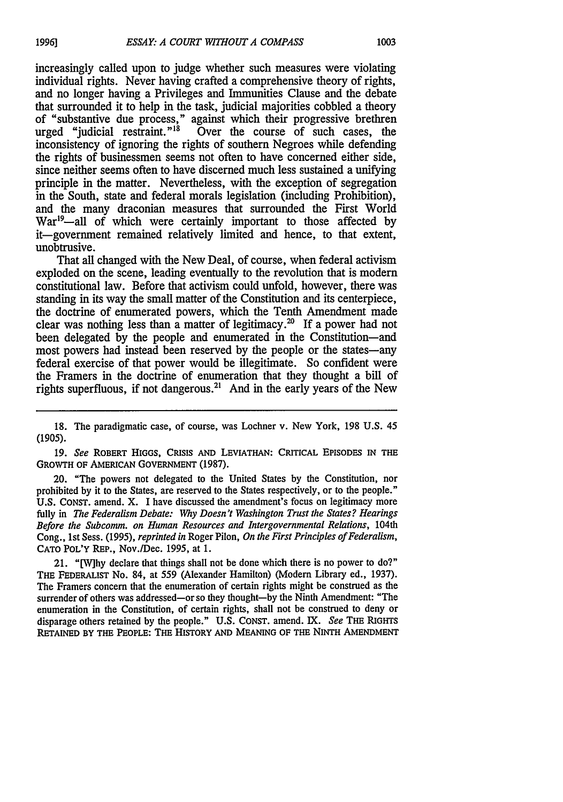increasingly called upon to judge whether such measures were violating individual rights. Never having crafted a comprehensive theory of rights, and no longer having a Privileges and Immunities Clause and the debate that surrounded it to help in the task, judicial majorities cobbled a theory of "substantive due process," against which their progressive brethren urged "judicial restraint."<sup>18</sup> Over the course of such cases, the inconsistency of ignoring the rights of southern Negroes while defending the rights of businessmen seems not often to have concerned either side, since neither seems often to have discerned much less sustained a unifying principle in the matter. Nevertheless, with the exception of segregation in the South, state and federal morals legislation (including Prohibition), and the many draconian measures that surrounded the First World War<sup>19</sup>—all of which were certainly important to those affected by it-government remained relatively limited and hence, to that extent, unobtrusive.

That all changed with the New Deal, of course, when federal activism exploded on the scene, leading eventually to the revolution that is modern constitutional law. Before that activism could unfold, however, there was standing in its way the small matter of the Constitution and its centerpiece, the doctrine of enumerated powers, which the Tenth Amendment made clear was nothing less than a matter of legitimacy.<sup>20</sup> If a power had not been delegated by the people and enumerated in the Constitution-and most powers had instead been reserved by the people or the states-any federal exercise of that power would be illegitimate. So confident were the Framers in the doctrine of enumeration that they thought a bill of rights superfluous, if not dangerous.<sup>21</sup> And in the early years of the New

**19.** *See* ROBERT HIGGS, **CRISIS AND LEVIATHAN:** CRITICAL **EPISODES IN THE** GROWTH **OF** AMERICAN GOVERNMENT **(1987).**

20. "The powers not delegated to the United States by the Constitution, nor prohibited by it to the States, are reserved to the States respectively, or to the people." **U.S.** CONST. amend. X. I have discussed the amendment's focus on legitimacy more fully in *The Federalism Debate: Why Doesn't Washington Trust the States? Hearings Before the Subcomm. on Human Resources and Intergovernmental Relations,* 104th Cong., 1st Sess. (1995), *reprinted in* Roger Pilon, *On the First Principles of Federalism,* **CATO** POL'Y REP., Nov./Dec. 1995, at 1.

21. "[Why declare that things shall not be done which there is no power to do?" THE FEDERALIST No. 84, at 559 (Alexander Hamilton) (Modern Library ed., 1937). The Framers concern that the enumeration of certain rights might be construed as the surrender of others was addressed—or so they thought—by the Ninth Amendment: "The enumeration in the Constitution, of certain rights, shall not be construed to deny or disparage others retained **by** the people." **U.S. CONST.** amend. **IX.** *See* THE RIGHTS **RETAINED** BY THE PEOPLE: THE HISTORY **AND** MEANING **OF** THE NINTH **AMENDMENT**

<sup>18.</sup> The paradigmatic case, of course, was Lochner v. New York, 198 U.S. 45 (1905).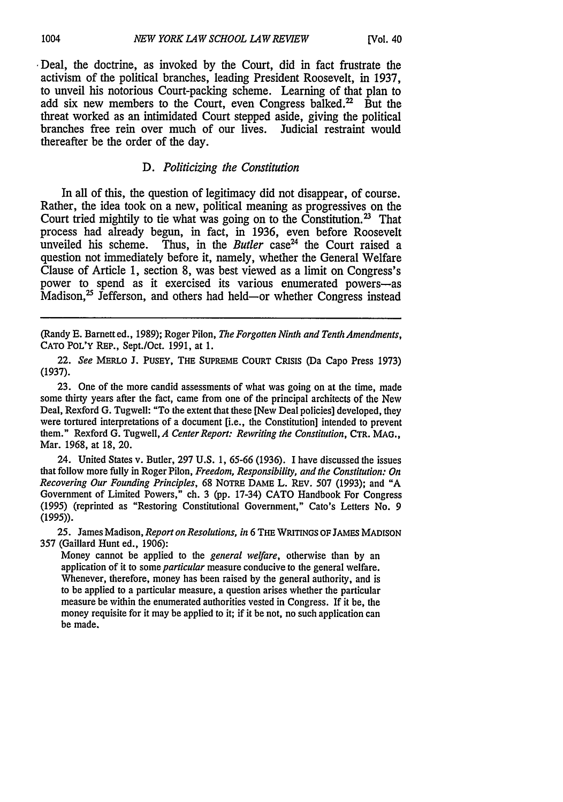\* Deal, the doctrine, as invoked by the Court, did in fact frustrate the activism of the political branches, leading President Roosevelt, in 1937, to unveil his notorious Court-packing scheme. Learning of that plan to add six new members to the Court, even Congress balked.<sup>22</sup> But the threat worked as an intimidated Court stepped aside, giving the political branches free rein over much of our lives. Judicial restraint would thereafter be the order of the day.

## *D. Politicizing the Constitution*

In all of this, the question of legitimacy did not disappear, of course. Rather, the idea took on a new, political meaning as progressives on the Court tried mightily to tie what was going on to the Constitution. **2** That process had already begun, in fact, in 1936, even before Roosevelt unveiled his scheme. Thus, in the *Butler* case<sup>24</sup> the Court raised a question not immediately before it, namely, whether the General Welfare Clause of Article 1, section 8, was best viewed as a limit on Congress's power to spend as it exercised its various enumerated powers-as Madison,<sup>25</sup> Jefferson, and others had held-or whether Congress instead

(Randy E. Barnett ed., 1989); Roger Pilon, *The Forgotten Ninth and Tenth Amendments,* CATO POL'Y **REP.,** Sept./Oct. 1991, at 1.

22. *See* MERLO **J.** PUSEY, THE **SUPREME COURT CRISIS** (Da Capo Press 1973) (1937).

23. One of the more candid assessments of what was going on at the time, made some thirty years after the fact, came from one of the principal architects of the New Deal, Rexford G. Tugwell: "To the extent that these [New Deal policies] developed, they were tortured interpretations of a document [i.e., the Constitution] intended to prevent them." Rexford G. Tugwell, *A Center Report: Rewriting the Constitution,* CTR. MAG., Mar. 1968, at 18, 20.

24. United States v. Butler, 297 U.S. 1, 65-66 (1936). I have discussed the issues that follow more fully in Roger Pilon, *Freedom, Responsibility, and the Constitution: On Recovering Our Founding Principles,* 68 NoTRE DAME L. REv. 507 (1993); and "A Government of Limited Powers," ch. 3 (pp. 17-34) CATO Handbook For Congress (1995) (reprinted as "Restoring Constitutional Government," Cato's Letters No. 9 (1995)).

25. James Madison, *Report on Resolutions, in* 6 THE WRITINGS **OF** JAMES MADISON 357 (Gaillard Hunt ed., 1906):

Money cannot be applied to the *general welfare,* otherwise than by an application of it to some *particular* measure conducive to the general welfare. Whenever, therefore, money has been raised by the general authority, and is to be applied to a particular measure, a question arises whether the particular measure be within the enumerated authorities vested in Congress. If it be, the money requisite for it may be applied to it; if it be not, no such application can be made.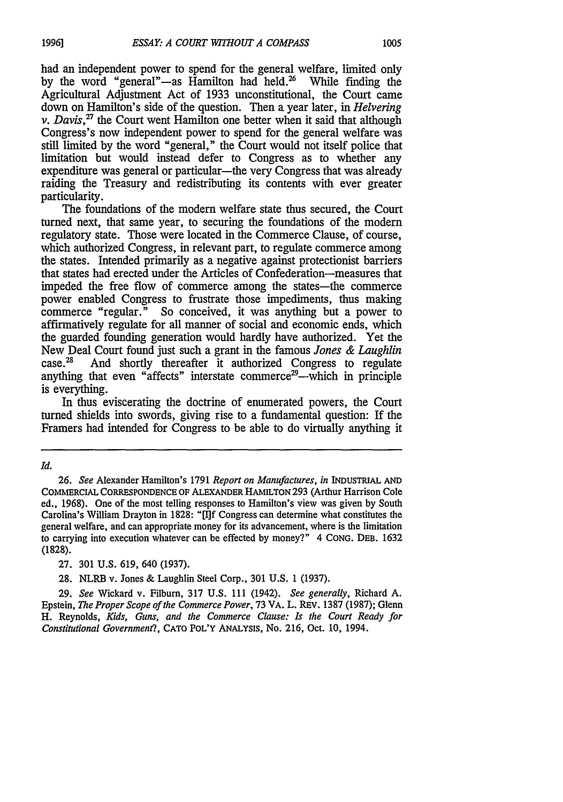had an independent power to spend for the general welfare, limited only by the word "general"-as Hamilton had held.<sup>26</sup> While finding the Agricultural Adjustment Act of 1933 unconstitutional, the Court came down on Hamilton's side of the question. Then a year later, in *Helvering v. Davis*,<sup>27</sup> the Court went Hamilton one better when it said that although Congress's now independent power to spend for the general welfare was still limited by the word "general," the Court would not itself police that limitation but would instead defer to Congress as to whether any expenditure was general or particular—the very Congress that was already raiding the Treasury and redistributing its contents with ever greater particularity.

The foundations of the modem welfare state thus secured, the Court turned next, that same year, to securing the foundations of the modem regulatory state. Those were located in the Commerce Clause, of course, which authorized Congress, in relevant part, to regulate commerce among the states. Intended primarily as a negative against protectionist barriers that states had erected under the Articles of Confederation-measures that impeded the free flow of commerce among the states-the commerce power enabled Congress to frustrate those impediments, thus making commerce "regular." So conceived, it was anything but a power to affirmatively regulate for all manner of social and economic ends, which the guarded founding generation would hardly have authorized. Yet the New Deal Court found just such a grant in the famous *Jones & Laughlin* And shortly thereafter it authorized Congress to regulate anything that even "affects" interstate commerce<sup>29</sup>—which in principle is everything.

In thus eviscerating the doctrine of enumerated powers, the Court turned shields into swords, giving rise to a fundamental question: If the Framers had intended for Congress to be able to do virtually anything it

*Id.*

*26. See* Alexander Hamilton's 1791 *Report on Manufactures, in* **INDUSTRIAL AND** COMMERCIAL **CORRESPONDENCE** OF ALEXANDER HAMILTON **293** (Arthur Harrison Cole ed., **1968).** One of the most telling responses to Hamilton's view was given **by** South Carolina's William Drayton in **1828: "[I]f** Congress can determine what constitutes the general welfare, and can appropriate money for its advancement, where is the limitation to carrying into execution whatever can be effected **by** money?" 4 **CONG.** DEB. **1632** (1828).

**27. 301 U.S. 619,** 640 **(1937).**

**28.** NLRB v. Jones & Laughlin Steel Corp., **301 U.S. 1 (1937).**

**29.** *See* Wickard v. Filburn, **317 U.S. 111** (1942). *See generally,* Richard **A.** Epstein, *The Proper Scope of the Commerce Power,* 73 VA. L. REV. 1387 (1987); Glenn H. Reynolds, *Kids, Guns, and the Commerce Clause: Is the Court Ready for Constitutional Government?,* CATO POL'Y ANALYSIS, No. 216, Oct. 10, 1994.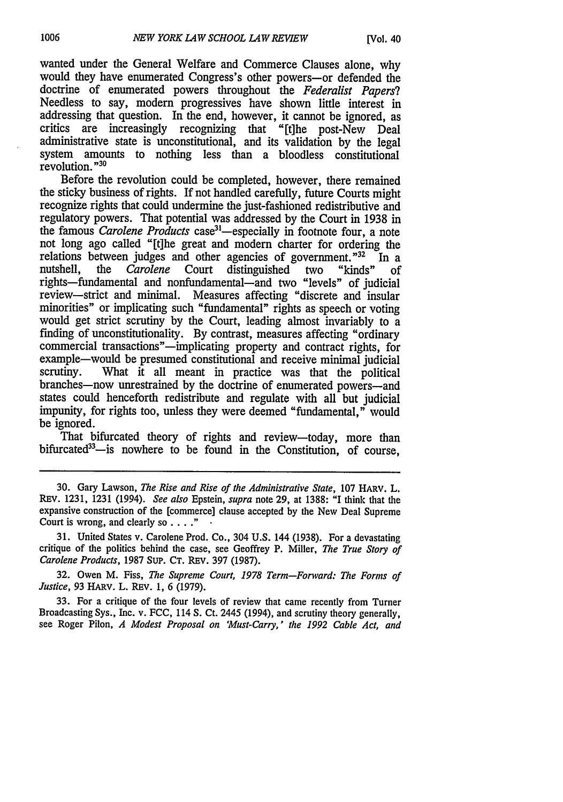wanted under the General Welfare and Commerce Clauses alone, why would they have enumerated Congress's other powers-or defended the doctrine of enumerated powers throughout the *Federalist Papers?* Needless to say, modem progressives have shown little interest in addressing that question. In the end, however, it cannot be ignored, as critics are increasingly recognizing that "[t]he post-New Deal administrative state is unconstitutional, and its validation by the legal system amounts to nothing less than a bloodless constitutional revolution. **"30**

Before the revolution could be completed, however, there remained the sticky business of rights. If not handled carefully, future Courts might recognize rights that could undermine the just-fashioned redistributive and regulatory powers. That potential was addressed by the Court in 1938 in the famous *Carolene Products* case<sup>31</sup>—especially in footnote four, a note not long ago called "[t]he great and modem charter for ordering the relations between judges and other agencies of government."<sup>32</sup> In a nutshell, the *Carolene* Court distinguished two "kinds" of nutshell, the *Carolene* Court distinguished two "kinds" of rights-fundamental and nonfundamental-and two "levels" of judicial review-strict and minimal. Measures affecting "discrete and insular minorities" or implicating such "fundamental" rights as speech or voting would get strict scrutiny by the Court, leading almost invariably to a finding of unconstitutionality. By contrast, measures affecting "ordinary commercial transactions"—implicating property and contract rights, for example-would be presumed constitutional and receive minimal judicial scrutiny. What it all meant in practice was that the political branches-now unrestrained by the doctrine of enumerated powers-and states could henceforth redistribute and regulate with all but judicial impunity, for rights too, unless they were deemed "fundamental," would be ignored.

That bifurcated theory of rights and review-today, more than bifurcated<sup>33</sup>—is nowhere to be found in the Constitution, of course,

30. Gary Lawson, *The Rise and Rise of the Administrative State,* 107 HARV. L. REv. 1231, 1231 (1994). *See also* Epstein, *supra* note 29, at 1388: "I think that the expansive construction of the [commerce] clause accepted by the New Deal Supreme Court is wrong, and clearly so  $\dots$ ."

31. United States v. Carolene Prod. Co., 304 U.S. 144 (1938). For a devastating critique of the politics behind the case, see Geoffrey P. Miller, *The True Story of Carolene Products,* 1987 SuP. CT. REV. 397 (1987).

32. Owen M. Fiss, *The Supreme Court, 1978 Term-Forward: The Forms of Justice,* **93** HARV. L. **REv. 1, 6 (1979).**

33. For a critique of the four levels of review that came recently from Turner Broadcasting Sys., Inc. v. FCC, 114 S. Ct. 2445 (1994), and scrutiny theory generally, see Roger Pilon, *A Modest Proposal on 'Must-Carry,' the 1992 Cable Act, and*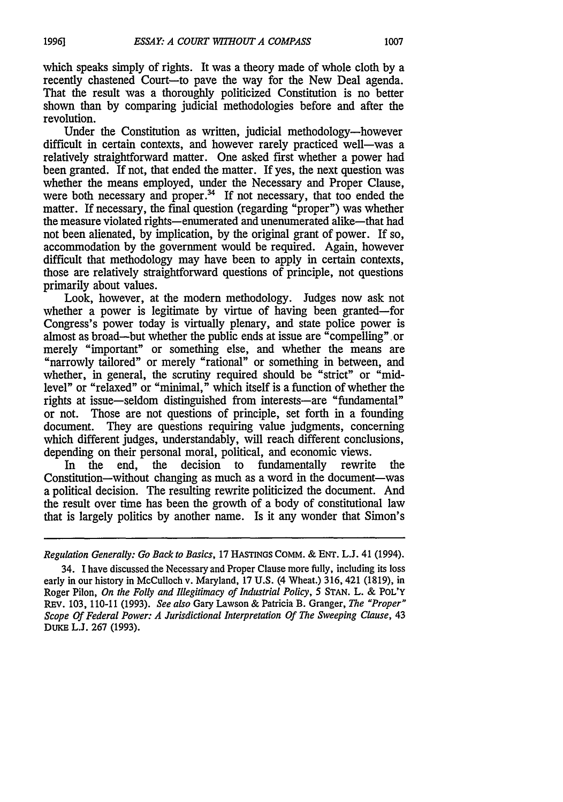which speaks simply of rights. It was a theory made of whole cloth by a recently chastened Court-to pave the way for the New Deal agenda. That the result was a thoroughly politicized Constitution is no better shown than by comparing judicial methodologies before and after the revolution.

Under the Constitution as written, judicial methodology-however difficult in certain contexts, and however rarely practiced well-was a relatively straightforward matter. One asked first whether a power had been granted. If not, that ended the matter. If yes, the next question was whether the means employed, under the Necessary and Proper Clause, were both necessary and proper. $34$  If not necessary, that too ended the matter. If necessary, the final question (regarding "proper") was whether the measure violated rights-enumerated and unenumerated alike-that had not been alienated, by implication, by the original grant of power. If so, accommodation by the government would be required. Again, however difficult that methodology may have been to apply in certain contexts, those are relatively straightforward questions of principle, not questions primarily about values.

Look, however, at the modem methodology. Judges now ask not whether a power is legitimate by virtue of having been granted-for Congress's power today is virtually plenary, and state police power is almost as broad—but whether the public ends at issue are "compelling" or merely "important" or something else, and whether the means are "narrowly tailored" or merely "rational" or something in between, and whether, in general, the scrutiny required should be "strict" or "midlevel" or "relaxed" or "minimal," which itself is a function of whether the rights at issue-seldom distinguished from interests-are "fundamental" or not. Those are not questions of principle, set forth in a founding document. They are questions requiring value judgments, concerning which different judges, understandably, will reach different conclusions, depending on their personal moral, political, and economic views.

In the end, the decision to fundamentally rewrite the Constitution-without changing as much as a word in the document-was a political decision. The resulting rewrite politicized the document. And the result over time has been the growth of a body of constitutional law that is largely politics by another name. Is it any wonder that Simon's

*Regulation Generally: Go Back to Basics,* 17 HASTINGS COMM. **&** ENT. L.J. 41 (1994).

<sup>34.</sup> I have discussed the Necessary and Proper Clause more fully, including its loss early in our history in McCulloch v. Maryland, 17 U.S. (4 Wheat.) 316, 421 (1819), in Roger Pilon, *On the Folly and Illegitimacy of Industrial Policy, 5* STAN. L. & POL'Y REv. 103, 110-11 (1993). *See also* Gary Lawson & Patricia B. Granger, *The "Proper" Scope Of Federal Power: A Jurisdictional Interpretation Of The Sweeping Clause,* 43 DUKE L.J. 267 (1993).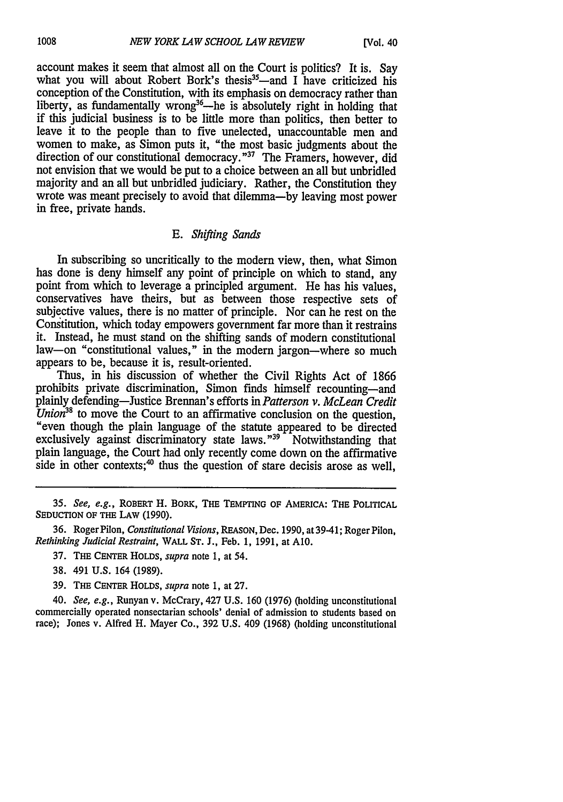account makes it seem that almost all on the Court is politics? It is. Say what you will about Robert Bork's thesis<sup>35</sup>—and I have criticized his conception of the Constitution, with its emphasis on democracy rather than liberty, as fundamentally wrong<sup>36</sup>—he is absolutely right in holding that if this judicial business is to be little more than politics, then better to leave it to the people than to five unelected, unaccountable men and women to make, as Simon puts it, "the most basic judgments about the direction of our constitutional democracy."<sup>37</sup> The Framers, however, did not envision that we would be put to a choice between an all but unbridled majority and an all but unbridled judiciary. Rather, the Constitution they wrote was meant precisely to avoid that dilemma-by leaving most power in free, private hands.

## *E. Shifting Sands*

In subscribing so uncritically to the modem view, then, what Simon has done is deny himself any point of principle on which to stand, any point from which to leverage a principled argument. He has his values, conservatives have theirs, but as between those respective sets of subjective values, there is no matter of principle. Nor can he rest on the Constitution, which today empowers government far more than it restrains it. Instead, he must stand on the shifting sands of modern constitutional law-on "constitutional values," in the modern jargon-where so much appears to be, because it is, result-oriented.

Thus, in his discussion of whether the Civil Rights Act of 1866 prohibits private discrimination, Simon finds himself recounting-and plainly defending—Justice Brennan's efforts in *Patterson v. McLean Credit Union*<sup>38</sup> to move the Court to an affirmative conclusion on the question, "even though the plain language of the statute appeared to be directed exclusively against discriminatory state laws."<sup>39</sup> Notwithstanding that plain language, the Court had only recently come down on the affirmative side in other contexts; $40$  thus the question of stare decisis arose as well.

36. RogerPilon, *Constitutional Visions,* REASON, Dec. 1990, at 39-41; Roger Pilon, *Rethinking Judicial Restraint,* WALL ST. J., Feb. 1, 1991, at **A10.**

- 37. THE CENTER HOLDs, *supra* note 1, at 54.
- 38. 491 U.S. 164 (1989).

39. THE **CENTER** HOLDS, *supra* note 1, at 27.

40. *See, e.g.,* Runyan v. McCrary, 427 U.S. 160 (1976) (holding unconstitutional commercially operated nonsectarian schools' denial of admission to students based on race); Jones v. Alfred H. Mayer Co., 392 U.S. 409 (1968) (holding unconstitutional

*<sup>35.</sup> See, e.g.,* ROBERT H. BORK, THE TEMPTING OF AMERICA: THE POLITICAL SEDUCTION OF THE LAW (1990).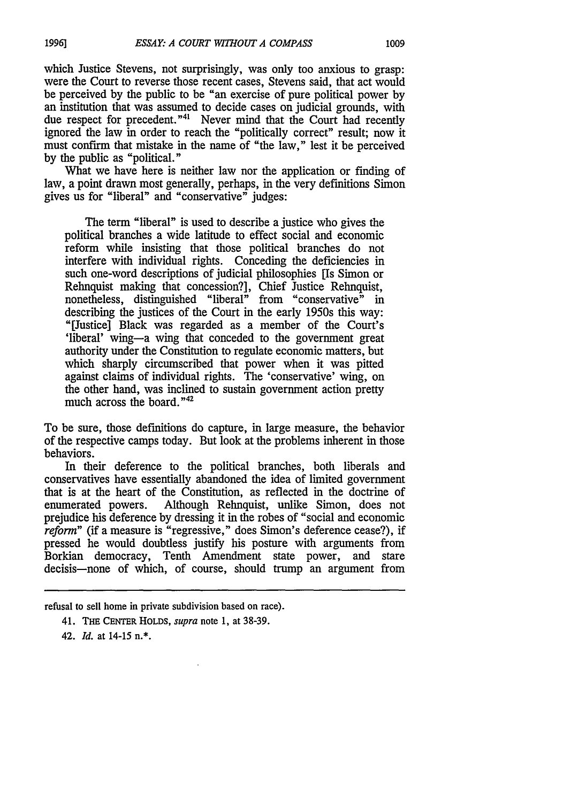which Justice Stevens, not surprisingly, was only too anxious to grasp: were the Court to reverse those recent cases, Stevens said, that act would be perceived by the public to be "an exercise of pure political power by an institution that was assumed to decide cases on judicial grounds, with due respect for precedent."<sup>41</sup> Never mind that the Court had recently ignored the law in order to reach the "politically correct" result; now it must confirm that mistake in the name of "the law," lest it be perceived by the public as "political."

What we have here is neither law nor the application or finding of law, a point drawn most generally, perhaps, in the very definitions Simon gives us for "liberal" and "conservative" judges:

The term "liberal" is used to describe a justice who gives the political branches a wide latitude to effect social and economic reform while insisting that those political branches do not interfere with individual rights. Conceding the deficiencies in such one-word descriptions of judicial philosophies [Is Simon or Rehnquist making that concession?], Chief Justice Rehnquist, nonetheless, distinguished "liberal" from "conservative" in describing the justices of the Court in the early 1950s this way: "[Justice] Black was regarded as a member of the Court's 'liberal' wing-a wing that conceded to the government great authority under the Constitution to regulate economic matters, but which sharply circumscribed that power when it was pitted against claims of individual rights. The 'conservative' wing, on the other hand, was inclined to sustain government action pretty much across the board. **"42**

To be sure, those definitions do capture, in large measure, the behavior of the respective camps today. But look at the problems inherent in those behaviors.

In their deference to the political branches, both liberals and conservatives have essentially abandoned the idea of limited government that is at the heart of the Constitution, as reflected in the doctrine of enumerated powers. Although Rehnquist, unlike Simon, does not prejudice his deference by dressing it in the robes of "social and economic reform" (if a measure is "regressive," does Simon's deference cease?), if pressed he would doubtless justify his posture with arguments from Borkian democracy, Tenth Amendment state power, and stare decisis-none of which, of course, should trump an argument from

42. *Id.* at 14-15 n.\*.

refusal to sell home in private subdivision based on race).

<sup>41.</sup> THE CENTER HOLDS, supra note 1, at 38-39.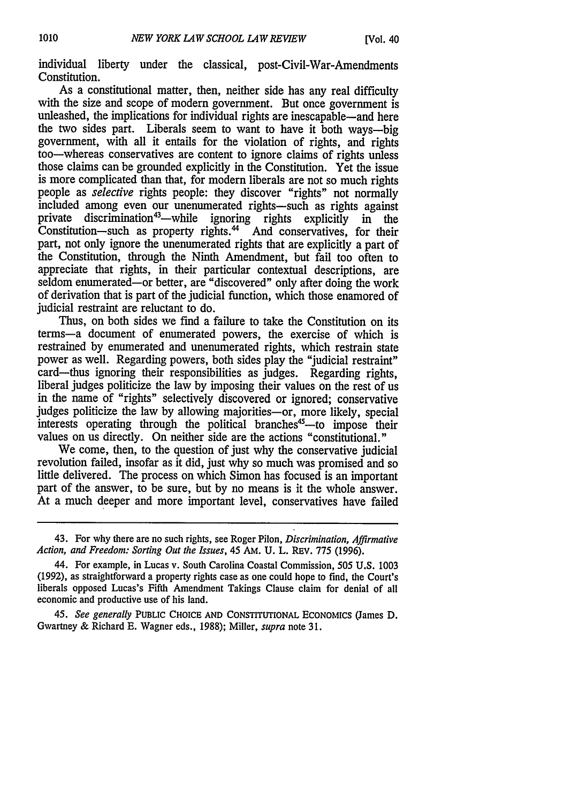individual liberty under the classical, post-Civil-War-Amendments Constitution.

As a constitutional matter, then, neither side has any real difficulty with the size and scope of modern government. But once government is unleashed, the implications for individual rights are inescapable—and here the two sides part. Liberals seem to want to have it both ways-big government, with all it entails for the violation of rights, and rights too-whereas conservatives are content to ignore claims of rights unless those claims can be grounded explicitly in the Constitution. Yet the issue is more complicated than that, for modem liberals are not so much rights people as *selective* rights people: they discover "rights" not normally included among even our unenumerated rights-such as rights against private discrimination<sup>43</sup>—while ignoring rights explicitly in the Constitution-such as property rights.<sup>44</sup> And conservatives, for their part, not only ignore the unenumerated rights that are explicitly a part of the Constitution, through the Ninth Amendment, but fail too often to appreciate that rights, in their particular contextual descriptions, are seldom enumerated-or better, are "discovered" only after doing the work of derivation that is part of the judicial function, which those enamored of judicial restraint are reluctant to do.

Thus, on both sides we find a failure to take the Constitution on its terms-a document of enumerated powers, the exercise of which is restrained by enumerated and unenumerated rights, which restrain state power as well. Regarding powers, both sides play the "judicial restraint" card-thus ignoring their responsibilities as judges. Regarding rights, liberal judges politicize the law by imposing their values on the rest of us in the name of "rights" selectively discovered or ignored; conservative judges politicize the law by allowing majorities-or, more likely, special interests operating through the political branches<sup>45</sup>—to impose their values on us directly. On neither side are the actions "constitutional."

We come, then, to the question of just why the conservative judicial revolution failed, insofar as it did, just why so much was promised and so little delivered. The process on which Simon has focused is an important part of the answer, to be sure, but by no means is it the whole answer. At a much deeper and more important level, conservatives have failed

<sup>43.</sup> For why there are no such rights, see Roger Pilon, *Discrimination, Affirmative Action, and Freedom: Sorting Out the Issues,* 45 AM. U. L. REV. 775 (1996).

<sup>44.</sup> For example, in Lucas v. South Carolina Coastal Commission, 505 U.S. 1003 (1992), as straightforward a property rights case as one could hope to find, the Court's liberals opposed Lucas's Fifth Amendment Takings Clause claim for denial of all economic and productive use of his land.

*<sup>45.</sup> See generally* PUBLIC CHOICE AND CONSTITUTIONAL ECONOMICS (James D. Gwartney & Richard E. Wagner eds., 1988); Miller, *supra* note 31.